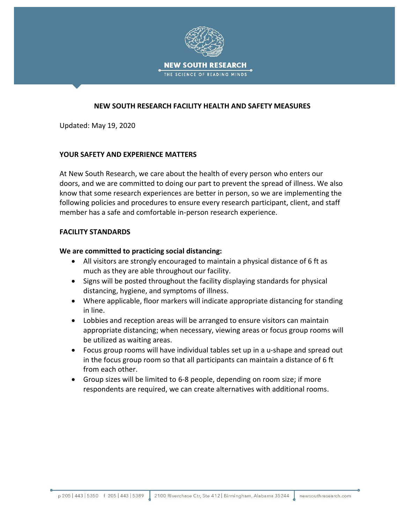

# **NEW SOUTH RESEARCH FACILITY HEALTH AND SAFETY MEASURES**

Updated: May 19, 2020

### **YOUR SAFETY AND EXPERIENCE MATTERS**

At New South Research, we care about the health of every person who enters our doors, and we are committed to doing our part to prevent the spread of illness. We also know that some research experiences are better in person, so we are implementing the following policies and procedures to ensure every research participant, client, and staff member has a safe and comfortable in-person research experience.

### **FACILITY STANDARDS**

#### **We are committed to practicing social distancing:**

- All visitors are strongly encouraged to maintain a physical distance of 6 ft as much as they are able throughout our facility.
- Signs will be posted throughout the facility displaying standards for physical distancing, hygiene, and symptoms of illness.
- Where applicable, floor markers will indicate appropriate distancing for standing in line.
- Lobbies and reception areas will be arranged to ensure visitors can maintain appropriate distancing; when necessary, viewing areas or focus group rooms will be utilized as waiting areas.
- Focus group rooms will have individual tables set up in a u-shape and spread out in the focus group room so that all participants can maintain a distance of 6 ft from each other.
- Group sizes will be limited to 6-8 people, depending on room size; if more respondents are required, we can create alternatives with additional rooms.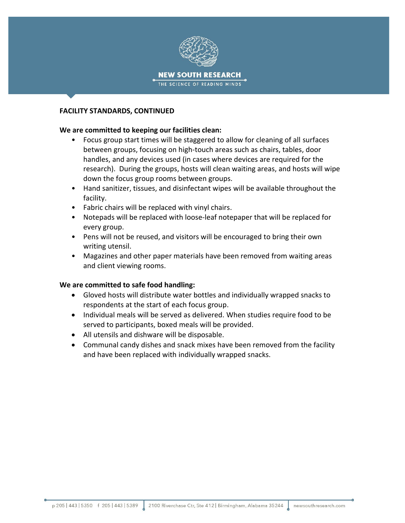

### **FACILITY STANDARDS, CONTINUED**

### **We are committed to keeping our facilities clean:**

- Focus group start times will be staggered to allow for cleaning of all surfaces between groups, focusing on high-touch areas such as chairs, tables, door handles, and any devices used (in cases where devices are required for the research). During the groups, hosts will clean waiting areas, and hosts will wipe down the focus group rooms between groups.
- Hand sanitizer, tissues, and disinfectant wipes will be available throughout the facility.
- Fabric chairs will be replaced with vinyl chairs.
- Notepads will be replaced with loose-leaf notepaper that will be replaced for every group.
- Pens will not be reused, and visitors will be encouraged to bring their own writing utensil.
- Magazines and other paper materials have been removed from waiting areas and client viewing rooms.

# **We are committed to safe food handling:**

- Gloved hosts will distribute water bottles and individually wrapped snacks to respondents at the start of each focus group.
- Individual meals will be served as delivered. When studies require food to be served to participants, boxed meals will be provided.
- All utensils and dishware will be disposable.
- Communal candy dishes and snack mixes have been removed from the facility and have been replaced with individually wrapped snacks.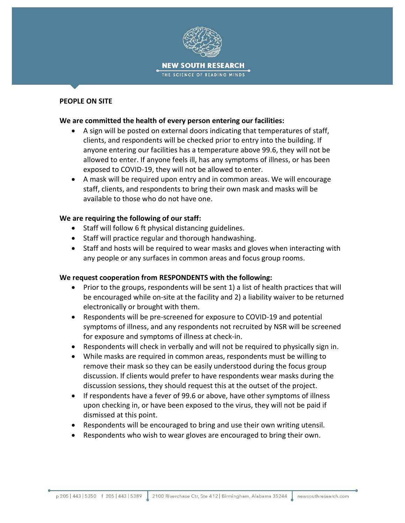

#### **PEOPLE ON SITE**

### **We are committed the health of every person entering our facilities:**

- A sign will be posted on external doors indicating that temperatures of staff, clients, and respondents will be checked prior to entry into the building. If anyone entering our facilities has a temperature above 99.6, they will not be allowed to enter. If anyone feels ill, has any symptoms of illness, or has been exposed to COVID-19, they will not be allowed to enter.
- A mask will be required upon entry and in common areas. We will encourage staff, clients, and respondents to bring their own mask and masks will be available to those who do not have one.

### **We are requiring the following of our staff:**

- Staff will follow 6 ft physical distancing guidelines.
- Staff will practice regular and thorough handwashing.
- Staff and hosts will be required to wear masks and gloves when interacting with any people or any surfaces in common areas and focus group rooms.

# **We request cooperation from RESPONDENTS with the following:**

- Prior to the groups, respondents will be sent 1) a list of health practices that will be encouraged while on-site at the facility and 2) a liability waiver to be returned electronically or brought with them.
- Respondents will be pre-screened for exposure to COVID-19 and potential symptoms of illness, and any respondents not recruited by NSR will be screened for exposure and symptoms of illness at check-in.
- Respondents will check in verbally and will not be required to physically sign in.
- While masks are required in common areas, respondents must be willing to remove their mask so they can be easily understood during the focus group discussion. If clients would prefer to have respondents wear masks during the discussion sessions, they should request this at the outset of the project.
- If respondents have a fever of 99.6 or above, have other symptoms of illness upon checking in, or have been exposed to the virus, they will not be paid if dismissed at this point.
- Respondents will be encouraged to bring and use their own writing utensil.
- Respondents who wish to wear gloves are encouraged to bring their own.